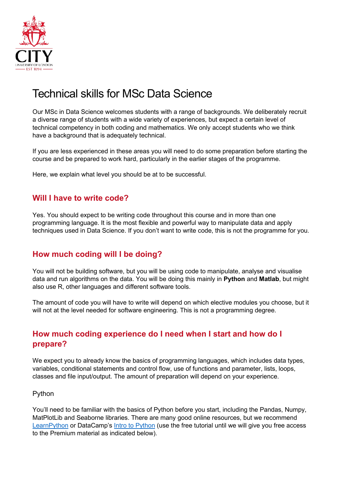

# Technical skills for MSc Data Science

Our MSc in Data Science welcomes students with a range of backgrounds. We deliberately recruit a diverse range of students with a wide variety of experiences, but expect a certain level of technical competency in both coding and mathematics. We only accept students who we think have a background that is adequately technical.

If you are less experienced in these areas you will need to do some preparation before starting the course and be prepared to work hard, particularly in the earlier stages of the programme.

Here, we explain what level you should be at to be successful.

## **Will I have to write code?**

Yes. You should expect to be writing code throughout this course and in more than one programming language. It is the most flexible and powerful way to manipulate data and apply techniques used in Data Science. If you don't want to write code, this is not the programme for you.

## **How much coding will I be doing?**

You will not be building software, but you will be using code to manipulate, analyse and visualise data and run algorithms on the data. You will be doing this mainly in **Python** and **Matlab**, but might also use R, other languages and different software tools.

The amount of code you will have to write will depend on which elective modules you choose, but it will not at the level needed for software engineering. This is not a programming degree.

## **How much coding experience do I need when I start and how do I prepare?**

We expect you to already know the basics of programming languages, which includes data types, variables, conditional statements and control flow, use of functions and parameter, lists, loops, classes and file input/output. The amount of preparation will depend on your experience.

#### Python

You'll need to be familiar with the basics of Python before you start, including the Pandas, Numpy, MatPlotLib and Seaborne libraries. There are many good online resources, but we recommend [LearnPython](http://www.learnpython.org/) or DataCamp's [Intro to Python](https://www.datacamp.com/courses/intro-to-python-for-data-science) (use the free tutorial until we will give you free access to the Premium material as indicated below).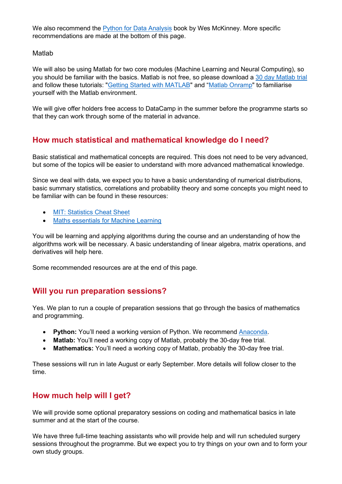We also recommend the [Python for Data Analysis](http://wesmckinney.com/pages/book.html) book by Wes McKinney. More specific recommendations are made at the bottom of this page.

#### Matlab

We will also be using Matlab for two core modules (Machine Learning and Neural Computing), so you should be familiar with the basics. Matlab is not free, so please download a [30 day Matlab trial](https://uk.mathworks.com/) and follow these tutorials: ["Getting Started with MATLAB"](https://uk.mathworks.com/help/matlab/getting-started-with-matlab.html) and ["Matlab Onramp"](https://uk.mathworks.com/learn/tutorials/matlab-onramp.html) to familiarise yourself with the Matlab environment.

We will give offer holders free access to DataCamp in the summer before the programme starts so that they can work through some of the material in advance.

## **How much statistical and mathematical knowledge do I need?**

Basic statistical and mathematical concepts are required. This does not need to be very advanced, but some of the topics will be easier to understand with more advanced mathematical knowledge.

Since we deal with data, we expect you to have a basic understanding of numerical distributions, basic summary statistics, correlations and probability theory and some concepts you might need to be familiar with can be found in these resources:

- [MIT: Statistics Cheat Sheet](http://web.mit.edu/%7Ecsvoss/Public/usabo/stats_handout.pdf)
- [Maths essentials for Machine Learning](https://gwthomas.github.io/docs/math4ml.pdf)

You will be learning and applying algorithms during the course and an understanding of how the algorithms work will be necessary. A basic understanding of linear algebra, matrix operations, and derivatives will help here.

Some recommended resources are at the end of this page.

## **Will you run preparation sessions?**

Yes. We plan to run a couple of preparation sessions that go through the basics of mathematics and programming.

- **Python:** You'll need a working version of Python. We recommend [Anaconda.](https://docs.anaconda.com/anaconda/navigator)
- **Matlab:** You'll need a working copy of Matlab, probably the 30-day free trial.
- **Mathematics:** You'll need a working copy of Matlab, probably the 30-day free trial.

These sessions will run in late August or early September. More details will follow closer to the time.

## **How much help will I get?**

We will provide some optional preparatory sessions on coding and mathematical basics in late summer and at the start of the course.

We have three full-time teaching assistants who will provide help and will run scheduled surgery sessions throughout the programme. But we expect you to try things on your own and to form your own study groups.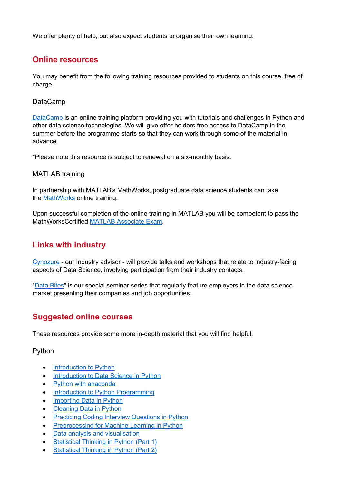We offer plenty of help, but also expect students to organise their own learning.

## **Online resources**

You may benefit from the following training resources provided to students on this course, free of charge.

#### DataCamp

[DataCamp](https://www.datacamp.com/) is an online training platform providing you with tutorials and challenges in Python and other data science technologies. We will give offer holders free access to DataCamp in the summer before the programme starts so that they can work through some of the material in advance.

\*Please note this resource is subject to renewal on a six-monthly basis.

#### MATLAB training

In partnership with MATLAB's MathWorks, postgraduate data science students can take the [MathWorks](https://uk.mathworks.com/services/training.html) online training.

Upon successful completion of the online training in MATLAB you will be competent to pass the MathWorksCertified [MATLAB Associate Exam.](https://uk.mathworks.com/training-schedule/certifications/show/mathworks-certified-matlab-associate-exam)

## **Links with industry**

[Cynozure](https://www.cynozure.co.uk/cdo-hub/) - our Industry advisor - will provide talks and workshops that relate to industry-facing aspects of Data Science, involving participation from their industry contacts.

["Data Bites"](https://researchcentres.city.ac.uk/acsml/data-bites) is our special seminar series that regularly feature employers in the data science market presenting their companies and job opportunities.

## **Suggested online courses**

These resources provide some more in-depth material that you will find helpful.

#### Python

- [Introduction to Python](https://www.datacamp.com/courses/intro-to-python-for-data-science)
- [Introduction to Data Science in Python](https://www.datacamp.com/courses/introduction-to-data-science-in-python)
- [Python with anaconda](https://www.datacamp.com/learn-python-with-anaconda)
- [Introduction to Python Programming](https://www.udacity.com/course/introduction-to-python--ud1110)
- [Importing Data in Python](https://www.udacity.com/course/introduction-to-python--ud1110)
- [Cleaning Data in Python](https://www.datacamp.com/courses/cleaning-data-in-python)
- [Practicing Coding Interview Questions in Python](https://learn.datacamp.com/courses/practicing-coding-interview-questions-in-python)
- [Preprocessing for Machine Learning in Python](https://www.datacamp.com/courses/preprocessing-for-machine-learning-in-python)
- [Data analysis and visualisation](https://www.udacity.com/course/data-analysis-and-visualization--ud404)
- [Statistical Thinking in Python \(Part 1\)](https://www.datacamp.com/courses/statistical-thinking-in-python-part-1)
- [Statistical Thinking in Python \(Part 2\)](https://www.datacamp.com/courses/statistical-thinking-in-python-part-2)